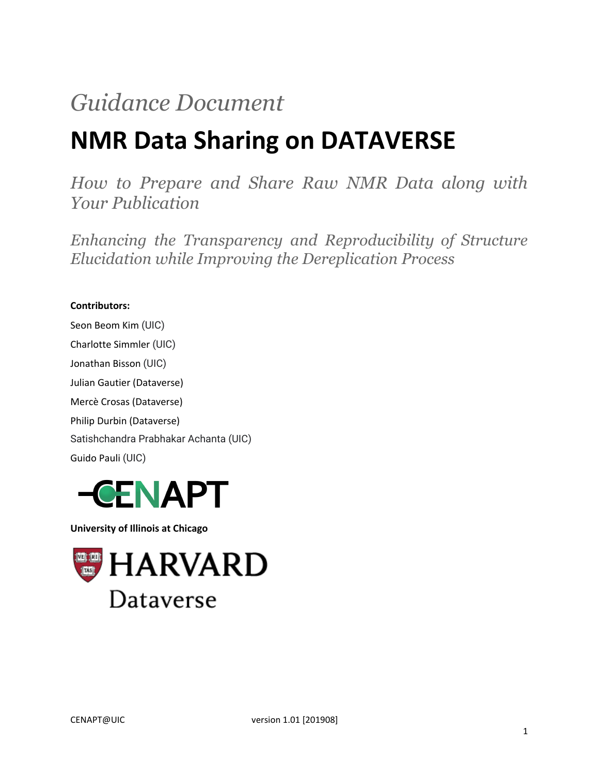# *Guidance Document*

# **NMR Data Sharing on DATAVERSE**

*How to Prepare and Share Raw NMR Data along with Your Publication*

*Enhancing the Transparency and Reproducibility of Structure Elucidation while Improving the Dereplication Process*

#### **Contributors:**

Seon Beom Kim (UIC) Charlotte Simmler (UIC) Jonathan Bisson (UIC) Julian Gautier (Dataverse) Mercè Crosas (Dataverse) Philip Durbin (Dataverse) Satishchandra Prabhakar Achanta (UIC) Guido Pauli (UIC)



**University of Illinois at Chicago**

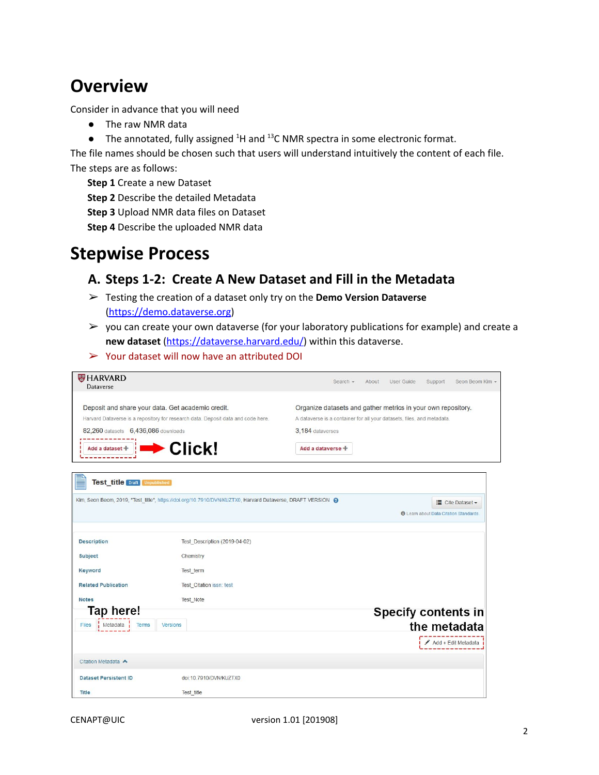## **Overview**

Consider in advance that you will need

- The raw NMR data
- The annotated, fully assigned  $^{4}$ H and  $^{13}$ C NMR spectra in some electronic format.

The file names should be chosen such that users will understand intuitively the content of each file. The steps are as follows:

**Step 1** Create a new Dataset

**Step 2** Describe the detailed Metadata

**Step 3** Upload NMR data files on Dataset

**Step 4** Describe the uploaded NMR data

## **Stepwise Process**

## **A. Steps 1-2: Create A New Dataset and Fill in the Metadata**

- ➢ Testing the creation of a dataset only try on the **Demo Version Dataverse** [\(https://demo.dataverse.org](https://demo.dataverse.org/))
- $\triangleright$  you can create your own dataverse (for your laboratory publications for example) and create a **new dataset** [\(https://dataverse.harvard.edu/](https://dataverse.harvard.edu/)) within this dataverse.
- ➢ Your dataset will now have an attributed DOI

| <b>HARVARD</b><br>Dataverse                       |                                                                                                            | Search -<br>About                                                      | User Guide<br>Support<br>Seon Beom Kim -      |
|---------------------------------------------------|------------------------------------------------------------------------------------------------------------|------------------------------------------------------------------------|-----------------------------------------------|
| Deposit and share your data. Get academic credit. |                                                                                                            | Organize datasets and gather metrics in your own repository.           |                                               |
|                                                   | Harvard Dataverse is a repository for research data. Deposit data and code here.                           | A dataverse is a container for all your datasets, files, and metadata. |                                               |
| 82,260 datasets 6,436,086 downloads               |                                                                                                            | 3,184 dataverses                                                       |                                               |
| Add a dataset +                                   | Click!                                                                                                     | Add a dataverse +                                                      |                                               |
| <b>Test title Draft Unpublished</b>               | Kim, Seon Beom, 2019, "Test title", https://doi.org/10.7910/DVN/KUZTX0, Harvard Dataverse, DRAFT VERSION @ |                                                                        | " Cite Dataset -                              |
|                                                   |                                                                                                            |                                                                        | <b>O</b> Learn about Data Citation Standards. |
| <b>Description</b>                                | Test Description (2019-04-02)                                                                              |                                                                        |                                               |
| <b>Subject</b>                                    | Chemistry                                                                                                  |                                                                        |                                               |
| Keyword                                           | Test term                                                                                                  |                                                                        |                                               |
| <b>Related Publication</b>                        | Test Citation issn: test                                                                                   |                                                                        |                                               |
| <b>Notes</b>                                      | <b>Test Note</b>                                                                                           |                                                                        |                                               |
| Tap here!                                         |                                                                                                            |                                                                        | <b>Specify contents in</b>                    |
| <b>Files</b><br>Metadata<br><b>Terms</b>          | <b>Versions</b>                                                                                            |                                                                        | the metadata                                  |
|                                                   |                                                                                                            |                                                                        | $Add + Edit Metadata$                         |
| Citation Metadata                                 |                                                                                                            |                                                                        |                                               |
| <b>Dataset Persistent ID</b>                      | doi:10.7910/DVN/KUZTX0                                                                                     |                                                                        |                                               |
| Title                                             | <b>Test title</b>                                                                                          |                                                                        |                                               |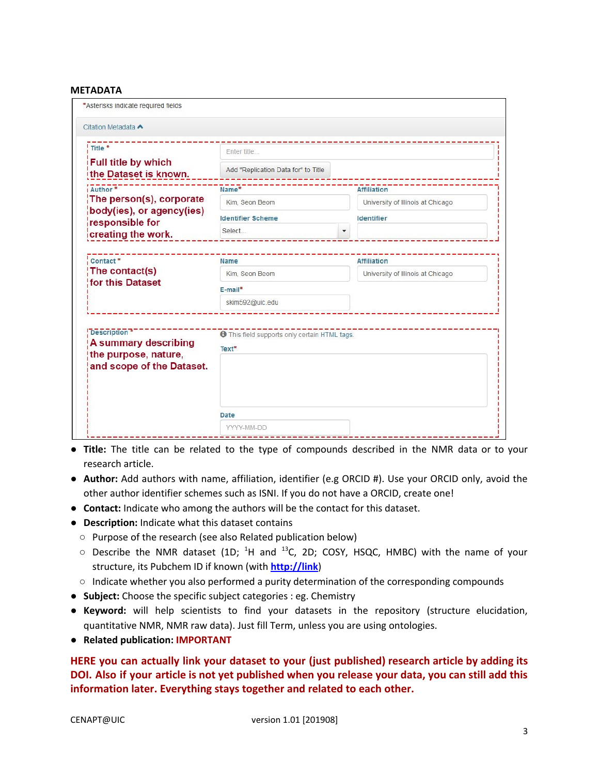#### **METADATA**

| ! Title *                                                                                       | Enter title                                                    |                                                         |
|-------------------------------------------------------------------------------------------------|----------------------------------------------------------------|---------------------------------------------------------|
| Full title by which<br>the Dataset is known.                                                    | Add "Replication Data for" to Title                            |                                                         |
| i Author <sup>*</sup>                                                                           | Name*                                                          | <b>Affiliation</b>                                      |
| The person(s), corporate                                                                        | Kim. Seon Beom                                                 | University of Illinois at Chicago                       |
| body(ies), or agency(ies)<br>responsible for                                                    | <b>Identifier Scheme</b>                                       | Identifier                                              |
| creating the work.                                                                              | Select                                                         |                                                         |
| Contact <sup>*</sup><br>The contact(s)<br><b>for this Dataset</b>                               | <b>Name</b><br>Kim. Seon Beom<br>$E$ -mail*<br>skim592@uic.edu | <b>Affiliation</b><br>University of Illinois at Chicago |
|                                                                                                 |                                                                |                                                         |
| <b>Description</b><br>A summary describing<br>the purpose, nature,<br>and scope of the Dataset. | <b>O</b> This field supports only certain HTML tags.<br>Text*  |                                                         |
|                                                                                                 | Date                                                           |                                                         |

- **● Title:** The title can be related to the type of compounds described in the NMR data or to your research article.
- **Author:** Add authors with name, affiliation, identifier (e.g ORCID #). Use your ORCID only, avoid the other author identifier schemes such as ISNI. If you do not have a ORCID, create one!
- **Contact:** Indicate who among the authors will be the contact for this dataset.
- **Description:** Indicate what this dataset contains
	- Purpose of the research (see also Related publication below)
	- $\circ$  Describe the NMR dataset (1D;  $^{1}$ H and  $^{13}$ C, 2D; COSY, HSQC, HMBC) with the name of your structure, its Pubchem ID if known (with **http://link**)
	- Indicate whether you also performed a purity determination of the corresponding compounds
- **Subject:** Choose the specific subject categories : eg. Chemistry
- **Keyword:** will help scientists to find your datasets in the repository (structure elucidation, quantitative NMR, NMR raw data). Just fill Term, unless you are using ontologies.
- **Related publication: IMPORTANT**

**HERE you can actually link your dataset to your (just published) research article by adding its** DOI. Also if your article is not yet published when you release your data, you can still add this **information later. Everything stays together and related to each other.**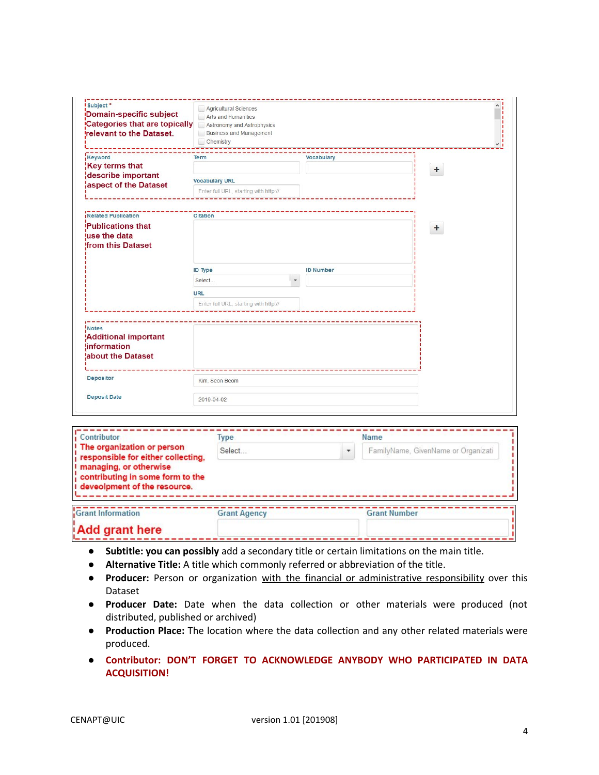| Domain-specific subject<br>Categories that are topically<br><b>Irelevant to the Dataset.</b> | Agricultural Sciences<br>Arts and Humanities<br>Astronomy and Astrophysics<br><b>Business and Management</b><br>Chemistry |                   |           |
|----------------------------------------------------------------------------------------------|---------------------------------------------------------------------------------------------------------------------------|-------------------|-----------|
| Keyword                                                                                      | <b>Term</b>                                                                                                               | <b>Vocabulary</b> |           |
| Key terms that<br>describe important                                                         |                                                                                                                           |                   | $\ddot{}$ |
| aspect of the Dataset                                                                        | <b>Vocabulary URL</b>                                                                                                     |                   |           |
|                                                                                              | Enter full URL, starting with http://                                                                                     |                   |           |
| Related Publication                                                                          | <b>Citation</b>                                                                                                           |                   |           |
| Publications that<br>luse the data<br><b>from this Dataset</b>                               |                                                                                                                           |                   | $+$       |
|                                                                                              | <b>ID Type</b>                                                                                                            | <b>ID Number</b>  |           |
|                                                                                              | Select<br>$\blacktriangledown$                                                                                            |                   |           |
|                                                                                              | <b>URL</b>                                                                                                                |                   |           |
|                                                                                              | Enter full URL, starting with http://                                                                                     |                   |           |
| ! Notes<br><b>Additional important</b><br><b>Information</b><br><b>labout the Dataset</b>    |                                                                                                                           |                   |           |
|                                                                                              | Kim, Seon Beom                                                                                                            |                   |           |
| <b>Depositor</b>                                                                             |                                                                                                                           |                   |           |

| Contributor                                                                                      | <b>Type</b>         |   | <b>Name</b>                         |
|--------------------------------------------------------------------------------------------------|---------------------|---|-------------------------------------|
| I The organization or person<br>  responsible for either collecting,<br>! managing, or otherwise | Select              | ٠ | FamilyName, GivenName or Organizati |
| contributing in some form to the<br>I deveolpment of the resource.                               |                     |   |                                     |
| Grant Information                                                                                | <b>Grant Agency</b> |   | <b>Grant Number</b>                 |
| Add grant here                                                                                   |                     |   |                                     |

- **● Subtitle: you can possibly** add a secondary title or certain limitations on the main title.
- **Alternative Title:** A title which commonly referred or abbreviation of the title.
- **Producer:** Person or organization with the financial or administrative responsibility over this Dataset
- **Producer Date:** Date when the data collection or other materials were produced (not distributed, published or archived)
- **Production Place:** The location where the data collection and any other related materials were produced.
- **Contributor: DON'T FORGET TO ACKNOWLEDGE ANYBODY WHO PARTICIPATED IN DATA ACQUISITION!**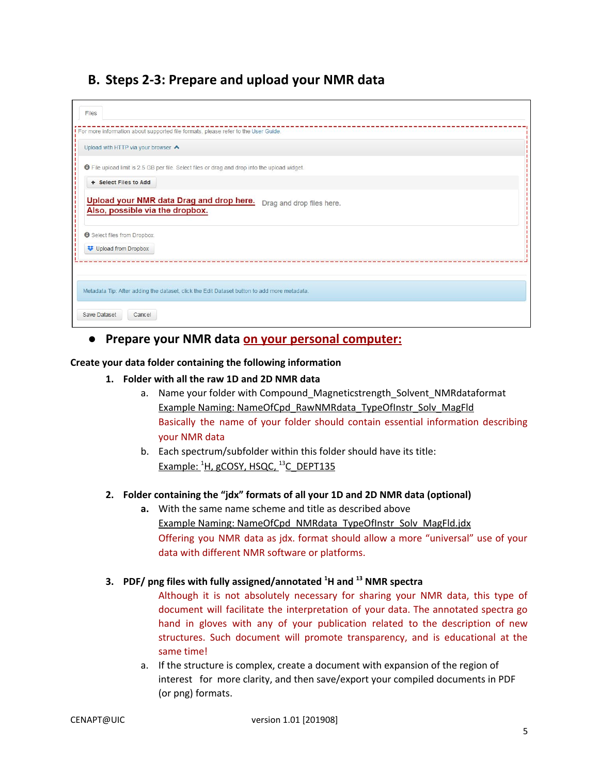## **B. Steps 2-3: Prepare and upload your NMR data**

| Files                                                         |                                                                                                      |
|---------------------------------------------------------------|------------------------------------------------------------------------------------------------------|
|                                                               | For more information about supported file formats, please refer to the User Guide.                   |
| Upload with HTTP via your browser                             |                                                                                                      |
|                                                               | <b>O</b> File upload limit is 2.5 GB per file. Select files or drag and drop into the upload widget. |
| + Select Files to Add                                         |                                                                                                      |
| Also, possible via the dropbox.<br>Select files from Dropbox. | Drag and drop files here.                                                                            |
| Upload from Dropbox                                           |                                                                                                      |
|                                                               |                                                                                                      |
|                                                               | Metadata Tip: After adding the dataset, click the Edit Dataset button to add more metadata.          |
| <b>Save Dataset</b><br>Cancel                                 |                                                                                                      |

#### **● Prepare your NMR data on your personal computer:**

#### **Create your data folder containing the following information**

#### **1. Folder with all the raw 1D and 2D NMR data**

- a. Name your folder with Compound\_Magneticstrength\_Solvent\_NMRdataformat Example Naming: NameOfCpd\_RawNMRdata\_TypeOfInstr\_Solv\_MagFld Basically the name of your folder should contain essential information describing your NMR data
- b. Each spectrum/subfolder within this folder should have its title: Example: <sup>1</sup>H, gCOSY, HSQC, <sup>13</sup>C\_DEPT135

#### **2. Folder containing the "jdx" formats of all your 1D and 2D NMR data (optional)**

**a.** With the same name scheme and title as described above Example Naming: NameOfCpd\_NMRdata\_TypeOfInstr\_Solv\_MagFld.jdx Offering you NMR data as jdx. format should allow a more "universal" use of your data with different NMR software or platforms.

#### **3. PDF/ png files with fully assigned/annotated <sup>1</sup>H and <sup>13</sup> NMR spectra**

Although it is not absolutely necessary for sharing your NMR data, this type of document will facilitate the interpretation of your data. The annotated spectra go hand in gloves with any of your publication related to the description of new structures. Such document will promote transparency, and is educational at the same time!

a. If the structure is complex, create a document with expansion of the region of interest for more clarity, and then save/export your compiled documents in PDF (or png) formats.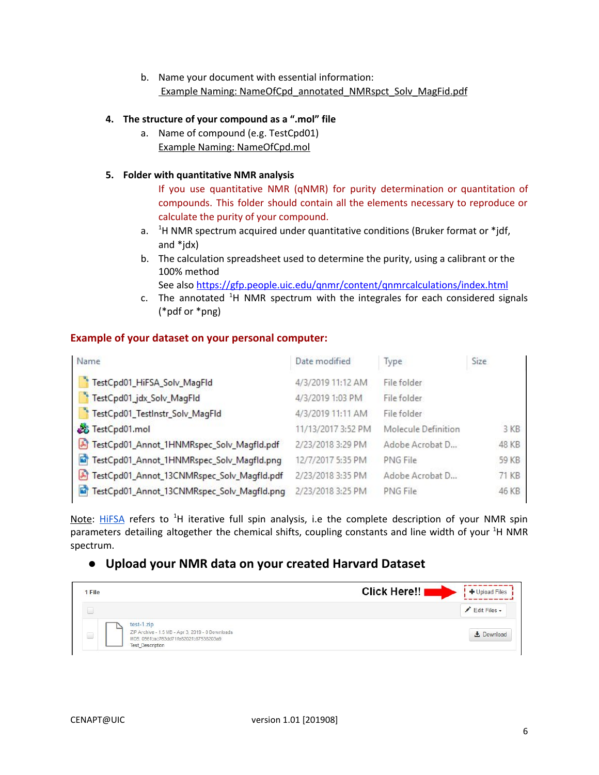b. Name your document with essential information: Example Naming: NameOfCpd\_annotated\_NMRspct\_Solv\_MagFid.pdf

#### **4. The structure of your compound as a ".mol" file**

a. Name of compound (e.g. TestCpd01) Example Naming: NameOfCpd.mol

#### **5. Folder with quantitative NMR analysis**

If you use quantitative NMR (qNMR) for purity determination or quantitation of compounds. This folder should contain all the elements necessary to reproduce or calculate the purity of your compound.

- a. <sup>1</sup>H NMR spectrum acquired under quantitative conditions (Bruker format or \*jdf, and \*jdx)
- b. The calculation spreadsheet used to determine the purity, using a calibrant or the 100% method

See also <https://gfp.people.uic.edu/qnmr/content/qnmrcalculations/index.html>

c. The annotated <sup>1</sup>H NMR spectrum with the integrales for each considered signals (\*pdf or \*png)

#### **Example of your dataset on your personal computer:**

| Name                                                       | Date modified      | Type                | Size  |
|------------------------------------------------------------|--------------------|---------------------|-------|
| TestCpd01_HiFSA_Solv_MagFld                                | 4/3/2019 11:12 AM  | File folder         |       |
| TestCpd01_jdx_Solv_MagFld                                  | 4/3/2019 1:03 PM   | File folder         |       |
| TestCpd01_TestInstr_Solv_MagFId                            | 4/3/2019 11:11 AM  | File folder         |       |
| TestCpd01.mol                                              | 11/13/2017 3:52 PM | Molecule Definition | 3 KB  |
| FestCpd01_Annot_1HNMRspec_Solv_Magfld.pdf                  | 2/23/2018 3:29 PM  | Adobe Acrobat D     | 48 KB |
| ø<br>TestCpd01_Annot_1HNMRspec_Solv_Magfld.png             | 12/7/2017 5:35 PM  | PNG File            | 59 KB |
| TestCpd01_Annot_13CNMRspec_Solv_Magfld.pdf<br>周            | 2/23/2018 3:35 PM  | Adobe Acrobat D     | 71 KB |
| $\mathbf{r}$<br>TestCpd01_Annot_13CNMRspec_Solv_Magfld.png | 2/23/2018 3:25 PM  | PNG File            | 46 KB |

Note: [HiFSA](https://gfp.people.uic.edu/rt/hifsa.htm) refers to <sup>1</sup>H iterative full spin analysis, i.e the complete description of your NMR spin parameters detailing altogether the chemical shifts, coupling constants and line width of your <sup>1</sup>H NMR spectrum.

### **● Upload your NMR data on your created Harvard Dataset**

| 1 File |                                                                                                                                    | Click Here!!<br>+ Upload Files |
|--------|------------------------------------------------------------------------------------------------------------------------------------|--------------------------------|
|        |                                                                                                                                    | Edit Files -                   |
| E      | test-1.zip<br>ZIP Archive - 1.5 MB - Apr 3, 2019 - 0 Downloads<br>MD5: 056fcac763dd71fe8202fc87538203a9<br><b>Test_Description</b> | Download                       |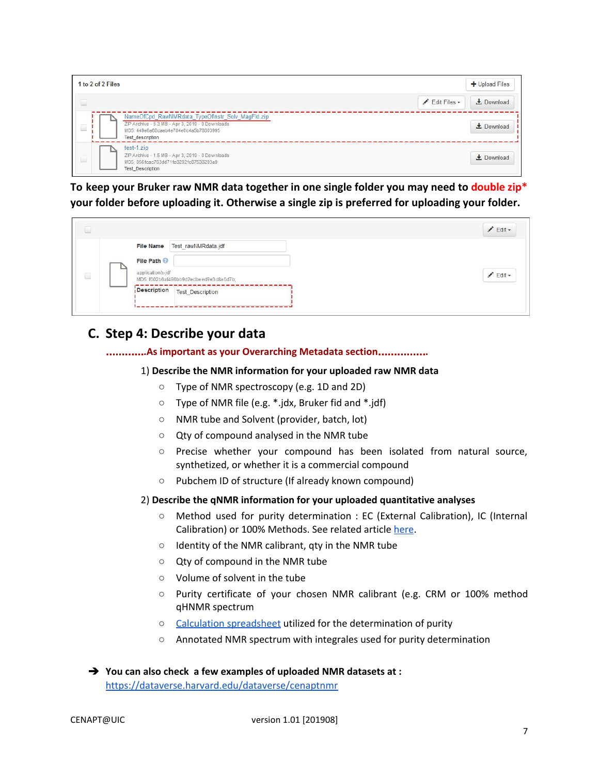| 1 to 2 of 2 Files                                                                                                                                                        |                 | + Upload Files      |
|--------------------------------------------------------------------------------------------------------------------------------------------------------------------------|-----------------|---------------------|
|                                                                                                                                                                          | $E$ dit Files - | L Download          |
| NameOfCpd_RawNMRdata_TypeOfInstr_Solv_MagFld.zip<br>ZIP Archive - 5.3 MB - Apr 3, 2019 - 0 Downloads<br>MD5: 449e6a68caeb4e784e0c4a5b78803995<br><b>Test description</b> |                 | $\bigstar$ Download |
| test-1.zip<br>ZIP Archive - 1.5 MB - Apr 3, 2019 - 0 Downloads<br>MD5: 056fcac763dd71fe8202fc87538203a9<br><b>Test Description</b>                                       |                 | $\bigstar$ Download |

**To keep your Bruker raw NMR data together in one single folder you may need to double zip\* your folder before uploading it. Otherwise a single zip is preferred for uploading your folder.**

|        |                                                                                                                     | $E$ dit $\sim$ |
|--------|---------------------------------------------------------------------------------------------------------------------|----------------|
| $\Box$ | Test rawNMRdata.jdf<br><b>File Name</b><br>File Path<br>application/x-jdf<br>MD5: f602b6af496bb9d2edbeed9e3d8e6d7b; | $Edt -$        |
|        | Description<br><b>Test_Description</b>                                                                              |                |

## **C. Step 4: Describe your data**

#### …………**.As important as your Overarching Metadata section**……………**.**

#### 1) **Describe the NMR information for your uploaded raw NMR data**

- Type of NMR spectroscopy (e.g. 1D and 2D)
- Type of NMR file (e.g. \*.jdx, Bruker fid and \*.jdf)
- NMR tube and Solvent (provider, batch, lot)
- Qty of compound analysed in the NMR tube
- Precise whether your compound has been isolated from natural source, synthetized, or whether it is a commercial compound
- Pubchem ID of structure (If already known compound)
- 2) **Describe the qNMR information for your uploaded quantitative analyses**
	- Method used for purity determination : EC (External Calibration), IC (Internal Calibration) or 100% Methods. See related article [here](https://pubs.acs.org/doi/10.1021/jm500734a).
	- Identity of the NMR calibrant, qty in the NMR tube
	- Qty of compound in the NMR tube
	- Volume of solvent in the tube
	- Purity certificate of your chosen NMR calibrant (e.g. CRM or 100% method qHNMR spectrum
	- Calculation [spreadsheet](https://gfp.people.uic.edu/rt/qHNMRpurityassay.html#qHNMRcalculations) utilized for the determination of purity
	- Annotated NMR spectrum with integrales used for purity determination
- ➔ **You can also check a few examples of uploaded NMR datasets at :** <https://dataverse.harvard.edu/dataverse/cenaptnmr>